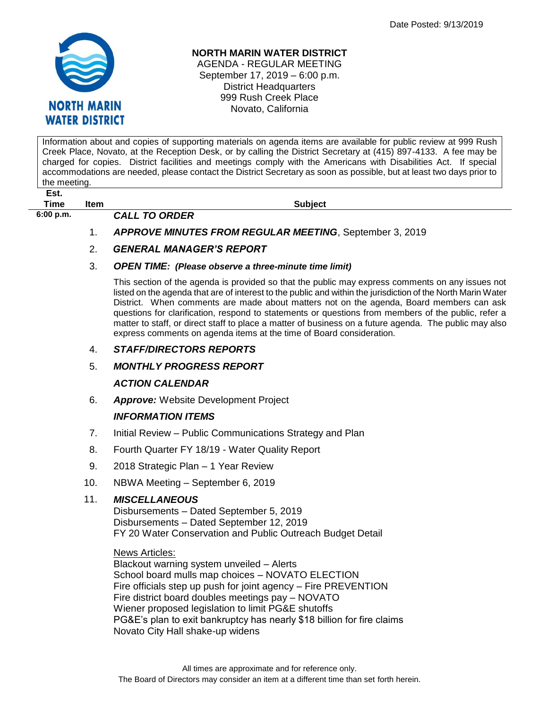

# **NORTH MARIN WATER DISTRICT**

AGENDA - REGULAR MEETING September 17, 2019 – 6:00 p.m. District Headquarters 999 Rush Creek Place Novato, California

Information about and copies of supporting materials on agenda items are available for public review at 999 Rush Creek Place, Novato, at the Reception Desk, or by calling the District Secretary at (415) 897-4133. A fee may be charged for copies. District facilities and meetings comply with the Americans with Disabilities Act. If special accommodations are needed, please contact the District Secretary as soon as possible, but at least two days prior to the meeting.

**Est.**

**6:00 p.m.** *CALL TO ORDER* 

**Time Item Subject**

- - 1. *APPROVE MINUTES FROM REGULAR MEETING*, September 3, 2019

### 2. *GENERAL MANAGER'S REPORT*

#### 3. *OPEN TIME: (Please observe a three-minute time limit)*

This section of the agenda is provided so that the public may express comments on any issues not listed on the agenda that are of interest to the public and within the jurisdiction of the North Marin Water District. When comments are made about matters not on the agenda, Board members can ask questions for clarification, respond to statements or questions from members of the public, refer a matter to staff, or direct staff to place a matter of business on a future agenda. The public may also express comments on agenda items at the time of Board consideration.

### 4. *STAFF/DIRECTORS REPORTS*

### 5. *MONTHLY PROGRESS REPORT*

### *ACTION CALENDAR*

6. *Approve:* Website Development Project

# *INFORMATION ITEMS*

- 7. Initial Review Public Communications Strategy and Plan
- 8. Fourth Quarter FY 18/19 Water Quality Report
- 9. 2018 Strategic Plan 1 Year Review
- 10. NBWA Meeting September 6, 2019

# 11. *MISCELLANEOUS*

Disbursements – Dated September 5, 2019 Disbursements – Dated September 12, 2019 FY 20 Water Conservation and Public Outreach Budget Detail

News Articles:

Blackout warning system unveiled – Alerts School board mulls map choices – NOVATO ELECTION Fire officials step up push for joint agency – Fire PREVENTION Fire district board doubles meetings pay – NOVATO Wiener proposed legislation to limit PG&E shutoffs PG&E's plan to exit bankruptcy has nearly \$18 billion for fire claims Novato City Hall shake-up widens